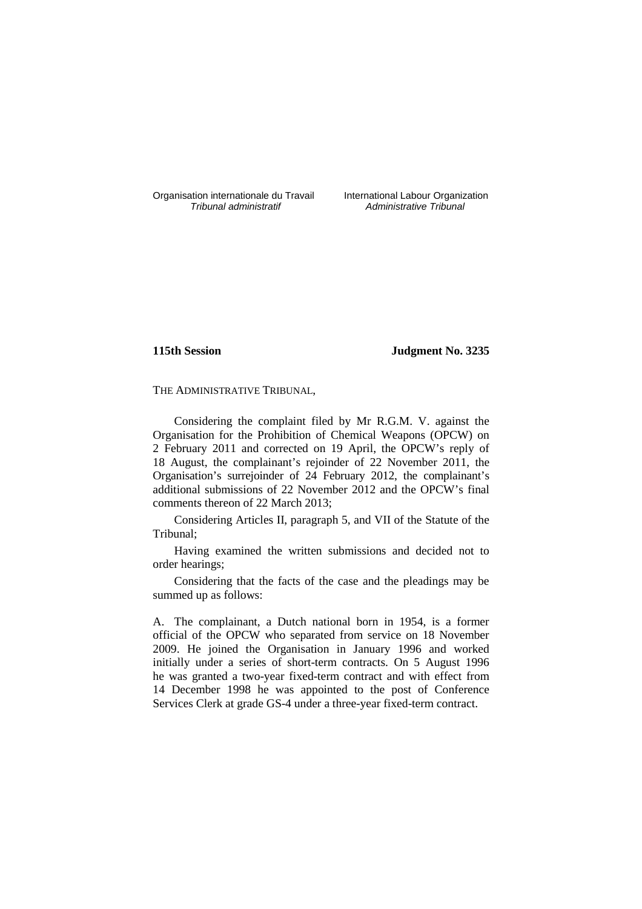Organisation internationale du Travail International Labour Organization<br>*Tribunal administratif* Administrative Tribunal

Administrative Tribunal

## **115th Session Judgment No. 3235**

### THE ADMINISTRATIVE TRIBUNAL,

Considering the complaint filed by Mr R.G.M. V. against the Organisation for the Prohibition of Chemical Weapons (OPCW) on 2 February 2011 and corrected on 19 April, the OPCW's reply of 18 August, the complainant's rejoinder of 22 November 2011, the Organisation's surrejoinder of 24 February 2012, the complainant's additional submissions of 22 November 2012 and the OPCW's final comments thereon of 22 March 2013;

Considering Articles II, paragraph 5, and VII of the Statute of the Tribunal;

Having examined the written submissions and decided not to order hearings;

Considering that the facts of the case and the pleadings may be summed up as follows:

A. The complainant, a Dutch national born in 1954, is a former official of the OPCW who separated from service on 18 November 2009. He joined the Organisation in January 1996 and worked initially under a series of short-term contracts. On 5 August 1996 he was granted a two-year fixed-term contract and with effect from 14 December 1998 he was appointed to the post of Conference Services Clerk at grade GS-4 under a three-year fixed-term contract.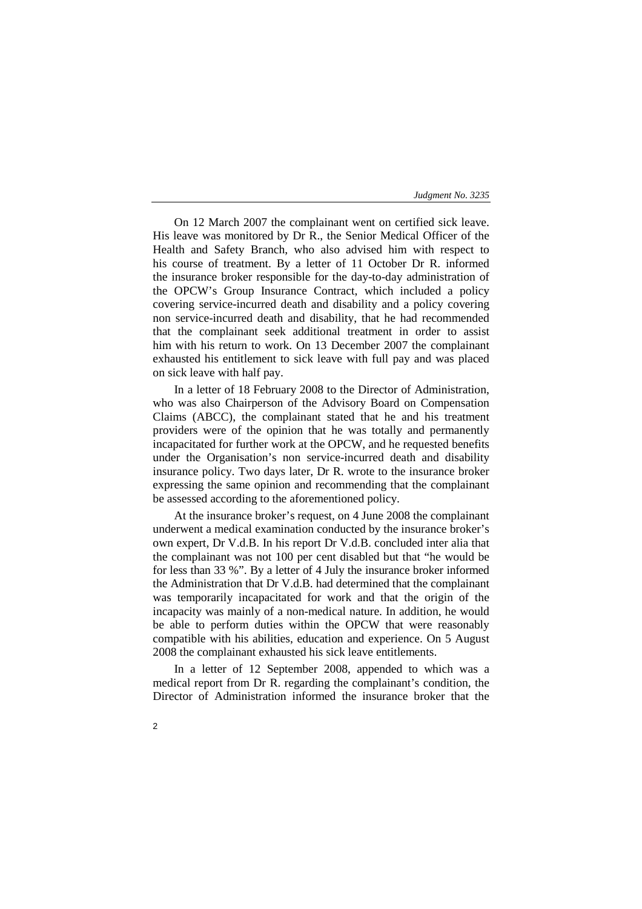On 12 March 2007 the complainant went on certified sick leave. His leave was monitored by Dr R., the Senior Medical Officer of the Health and Safety Branch, who also advised him with respect to his course of treatment. By a letter of 11 October Dr R. informed the insurance broker responsible for the day-to-day administration of the OPCW's Group Insurance Contract, which included a policy covering service-incurred death and disability and a policy covering non service-incurred death and disability, that he had recommended that the complainant seek additional treatment in order to assist him with his return to work. On 13 December 2007 the complainant exhausted his entitlement to sick leave with full pay and was placed on sick leave with half pay.

In a letter of 18 February 2008 to the Director of Administration, who was also Chairperson of the Advisory Board on Compensation Claims (ABCC), the complainant stated that he and his treatment providers were of the opinion that he was totally and permanently incapacitated for further work at the OPCW, and he requested benefits under the Organisation's non service-incurred death and disability insurance policy. Two days later, Dr R. wrote to the insurance broker expressing the same opinion and recommending that the complainant be assessed according to the aforementioned policy.

At the insurance broker's request, on 4 June 2008 the complainant underwent a medical examination conducted by the insurance broker's own expert, Dr V.d.B. In his report Dr V.d.B. concluded inter alia that the complainant was not 100 per cent disabled but that "he would be for less than 33 %". By a letter of 4 July the insurance broker informed the Administration that Dr V.d.B. had determined that the complainant was temporarily incapacitated for work and that the origin of the incapacity was mainly of a non-medical nature. In addition, he would be able to perform duties within the OPCW that were reasonably compatible with his abilities, education and experience. On 5 August 2008 the complainant exhausted his sick leave entitlements.

In a letter of 12 September 2008, appended to which was a medical report from Dr R. regarding the complainant's condition, the Director of Administration informed the insurance broker that the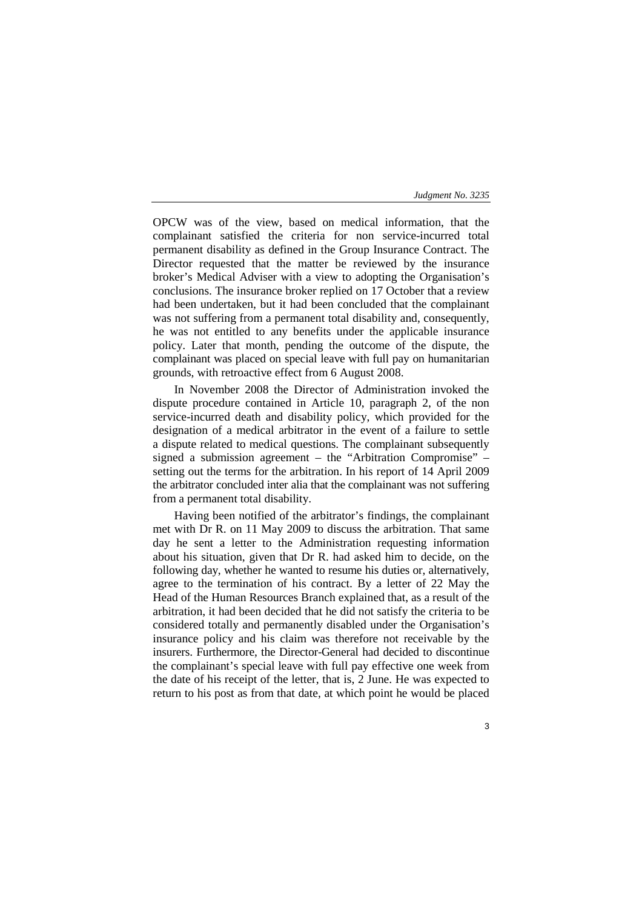3

OPCW was of the view, based on medical information, that the complainant satisfied the criteria for non service-incurred total permanent disability as defined in the Group Insurance Contract. The Director requested that the matter be reviewed by the insurance broker's Medical Adviser with a view to adopting the Organisation's conclusions. The insurance broker replied on 17 October that a review had been undertaken, but it had been concluded that the complainant was not suffering from a permanent total disability and, consequently, he was not entitled to any benefits under the applicable insurance policy. Later that month, pending the outcome of the dispute, the complainant was placed on special leave with full pay on humanitarian grounds, with retroactive effect from 6 August 2008.

In November 2008 the Director of Administration invoked the dispute procedure contained in Article 10, paragraph 2, of the non service-incurred death and disability policy, which provided for the designation of a medical arbitrator in the event of a failure to settle a dispute related to medical questions. The complainant subsequently signed a submission agreement – the "Arbitration Compromise" – setting out the terms for the arbitration. In his report of 14 April 2009 the arbitrator concluded inter alia that the complainant was not suffering from a permanent total disability.

Having been notified of the arbitrator's findings, the complainant met with Dr R. on 11 May 2009 to discuss the arbitration. That same day he sent a letter to the Administration requesting information about his situation, given that Dr R. had asked him to decide, on the following day, whether he wanted to resume his duties or, alternatively, agree to the termination of his contract. By a letter of 22 May the Head of the Human Resources Branch explained that, as a result of the arbitration, it had been decided that he did not satisfy the criteria to be considered totally and permanently disabled under the Organisation's insurance policy and his claim was therefore not receivable by the insurers. Furthermore, the Director-General had decided to discontinue the complainant's special leave with full pay effective one week from the date of his receipt of the letter, that is, 2 June. He was expected to return to his post as from that date, at which point he would be placed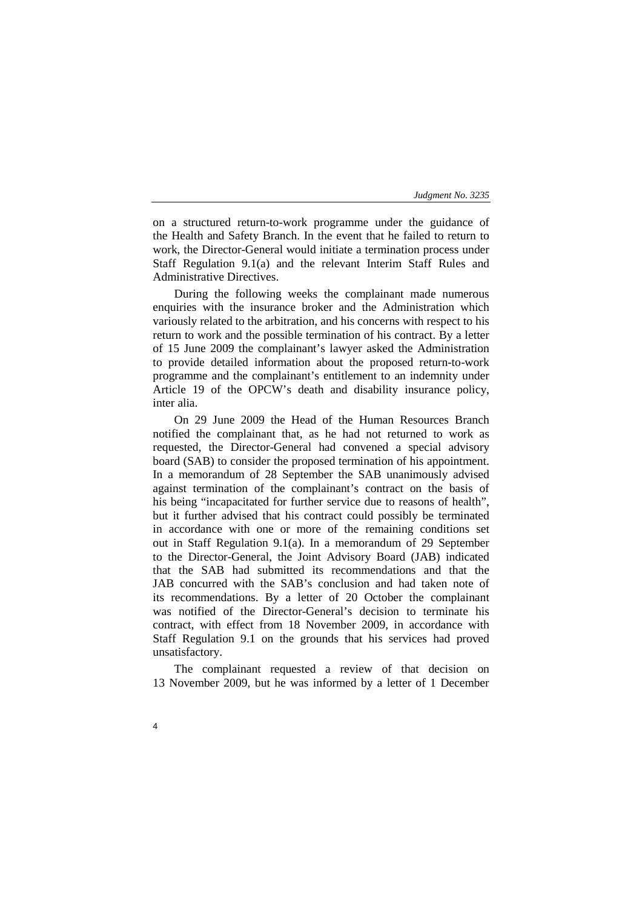on a structured return-to-work programme under the guidance of the Health and Safety Branch. In the event that he failed to return to work, the Director-General would initiate a termination process under Staff Regulation 9.1(a) and the relevant Interim Staff Rules and Administrative Directives.

During the following weeks the complainant made numerous enquiries with the insurance broker and the Administration which variously related to the arbitration, and his concerns with respect to his return to work and the possible termination of his contract. By a letter of 15 June 2009 the complainant's lawyer asked the Administration to provide detailed information about the proposed return-to-work programme and the complainant's entitlement to an indemnity under Article 19 of the OPCW's death and disability insurance policy, inter alia.

On 29 June 2009 the Head of the Human Resources Branch notified the complainant that, as he had not returned to work as requested, the Director-General had convened a special advisory board (SAB) to consider the proposed termination of his appointment. In a memorandum of 28 September the SAB unanimously advised against termination of the complainant's contract on the basis of his being "incapacitated for further service due to reasons of health", but it further advised that his contract could possibly be terminated in accordance with one or more of the remaining conditions set out in Staff Regulation 9.1(a). In a memorandum of 29 September to the Director-General, the Joint Advisory Board (JAB) indicated that the SAB had submitted its recommendations and that the JAB concurred with the SAB's conclusion and had taken note of its recommendations. By a letter of 20 October the complainant was notified of the Director-General's decision to terminate his contract, with effect from 18 November 2009, in accordance with Staff Regulation 9.1 on the grounds that his services had proved unsatisfactory.

The complainant requested a review of that decision on 13 November 2009, but he was informed by a letter of 1 December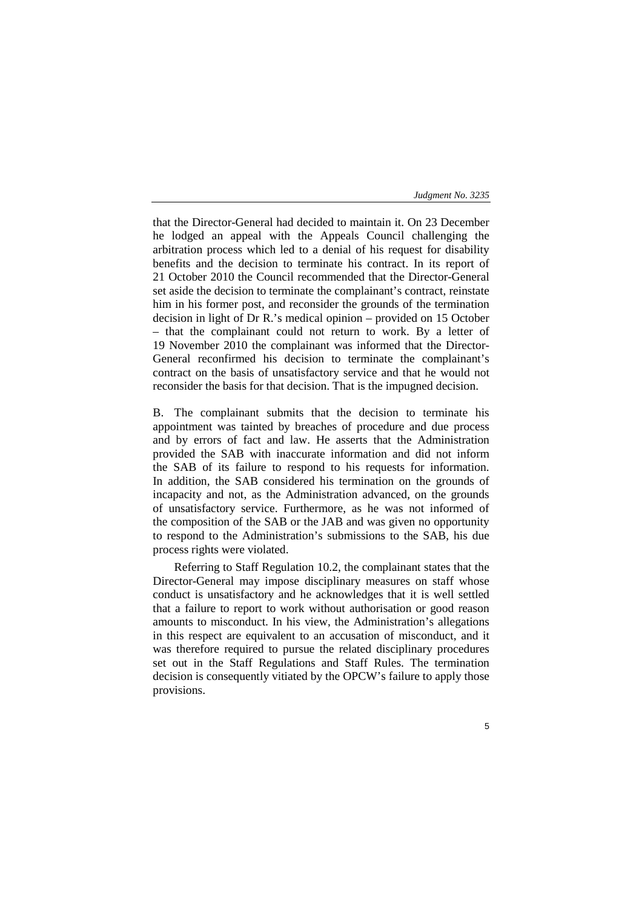that the Director-General had decided to maintain it. On 23 December he lodged an appeal with the Appeals Council challenging the arbitration process which led to a denial of his request for disability benefits and the decision to terminate his contract. In its report of 21 October 2010 the Council recommended that the Director-General set aside the decision to terminate the complainant's contract, reinstate him in his former post, and reconsider the grounds of the termination decision in light of Dr R.'s medical opinion – provided on 15 October – that the complainant could not return to work. By a letter of 19 November 2010 the complainant was informed that the Director-General reconfirmed his decision to terminate the complainant's contract on the basis of unsatisfactory service and that he would not reconsider the basis for that decision. That is the impugned decision.

B. The complainant submits that the decision to terminate his appointment was tainted by breaches of procedure and due process and by errors of fact and law. He asserts that the Administration provided the SAB with inaccurate information and did not inform the SAB of its failure to respond to his requests for information. In addition, the SAB considered his termination on the grounds of incapacity and not, as the Administration advanced, on the grounds of unsatisfactory service. Furthermore, as he was not informed of the composition of the SAB or the JAB and was given no opportunity to respond to the Administration's submissions to the SAB, his due process rights were violated.

Referring to Staff Regulation 10.2, the complainant states that the Director-General may impose disciplinary measures on staff whose conduct is unsatisfactory and he acknowledges that it is well settled that a failure to report to work without authorisation or good reason amounts to misconduct. In his view, the Administration's allegations in this respect are equivalent to an accusation of misconduct, and it was therefore required to pursue the related disciplinary procedures set out in the Staff Regulations and Staff Rules. The termination decision is consequently vitiated by the OPCW's failure to apply those provisions.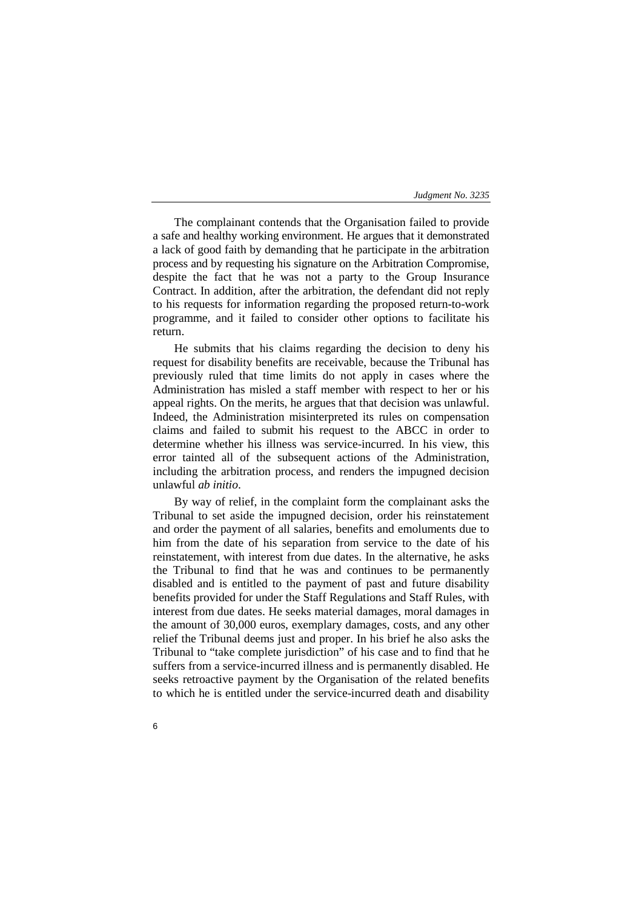The complainant contends that the Organisation failed to provide a safe and healthy working environment. He argues that it demonstrated a lack of good faith by demanding that he participate in the arbitration process and by requesting his signature on the Arbitration Compromise, despite the fact that he was not a party to the Group Insurance Contract. In addition, after the arbitration, the defendant did not reply to his requests for information regarding the proposed return-to-work programme, and it failed to consider other options to facilitate his return.

He submits that his claims regarding the decision to deny his request for disability benefits are receivable, because the Tribunal has previously ruled that time limits do not apply in cases where the Administration has misled a staff member with respect to her or his appeal rights. On the merits, he argues that that decision was unlawful. Indeed, the Administration misinterpreted its rules on compensation claims and failed to submit his request to the ABCC in order to determine whether his illness was service-incurred. In his view, this error tainted all of the subsequent actions of the Administration, including the arbitration process, and renders the impugned decision unlawful *ab initio*.

By way of relief, in the complaint form the complainant asks the Tribunal to set aside the impugned decision, order his reinstatement and order the payment of all salaries, benefits and emoluments due to him from the date of his separation from service to the date of his reinstatement, with interest from due dates. In the alternative, he asks the Tribunal to find that he was and continues to be permanently disabled and is entitled to the payment of past and future disability benefits provided for under the Staff Regulations and Staff Rules, with interest from due dates. He seeks material damages, moral damages in the amount of 30,000 euros, exemplary damages, costs, and any other relief the Tribunal deems just and proper. In his brief he also asks the Tribunal to "take complete jurisdiction" of his case and to find that he suffers from a service-incurred illness and is permanently disabled. He seeks retroactive payment by the Organisation of the related benefits to which he is entitled under the service-incurred death and disability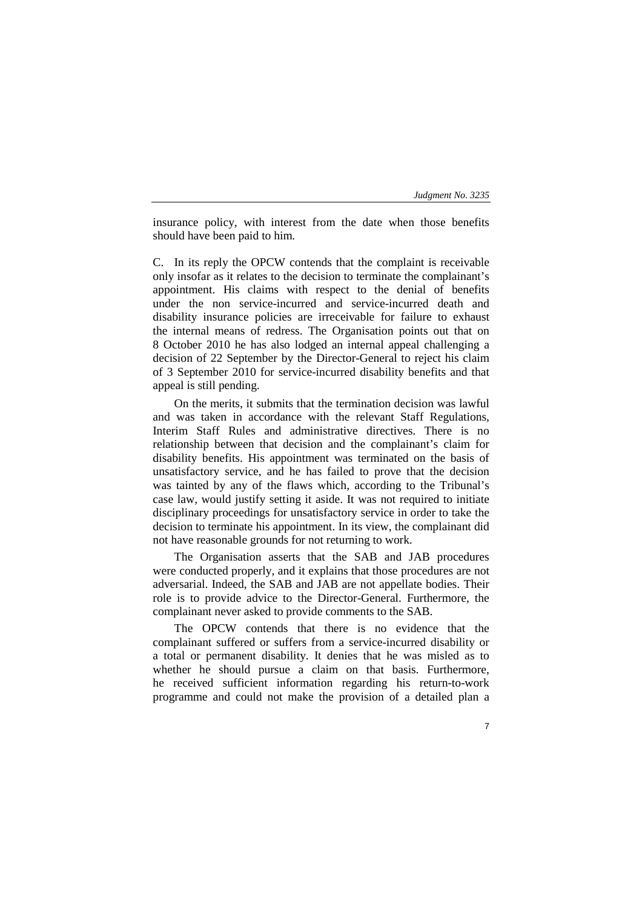insurance policy, with interest from the date when those benefits should have been paid to him.

C. In its reply the OPCW contends that the complaint is receivable only insofar as it relates to the decision to terminate the complainant's appointment. His claims with respect to the denial of benefits under the non service-incurred and service-incurred death and disability insurance policies are irreceivable for failure to exhaust the internal means of redress. The Organisation points out that on 8 October 2010 he has also lodged an internal appeal challenging a decision of 22 September by the Director-General to reject his claim of 3 September 2010 for service-incurred disability benefits and that appeal is still pending.

On the merits, it submits that the termination decision was lawful and was taken in accordance with the relevant Staff Regulations, Interim Staff Rules and administrative directives. There is no relationship between that decision and the complainant's claim for disability benefits. His appointment was terminated on the basis of unsatisfactory service, and he has failed to prove that the decision was tainted by any of the flaws which, according to the Tribunal's case law, would justify setting it aside. It was not required to initiate disciplinary proceedings for unsatisfactory service in order to take the decision to terminate his appointment. In its view, the complainant did not have reasonable grounds for not returning to work.

The Organisation asserts that the SAB and JAB procedures were conducted properly, and it explains that those procedures are not adversarial. Indeed, the SAB and JAB are not appellate bodies. Their role is to provide advice to the Director-General. Furthermore, the complainant never asked to provide comments to the SAB.

The OPCW contends that there is no evidence that the complainant suffered or suffers from a service-incurred disability or a total or permanent disability. It denies that he was misled as to whether he should pursue a claim on that basis. Furthermore, he received sufficient information regarding his return-to-work programme and could not make the provision of a detailed plan a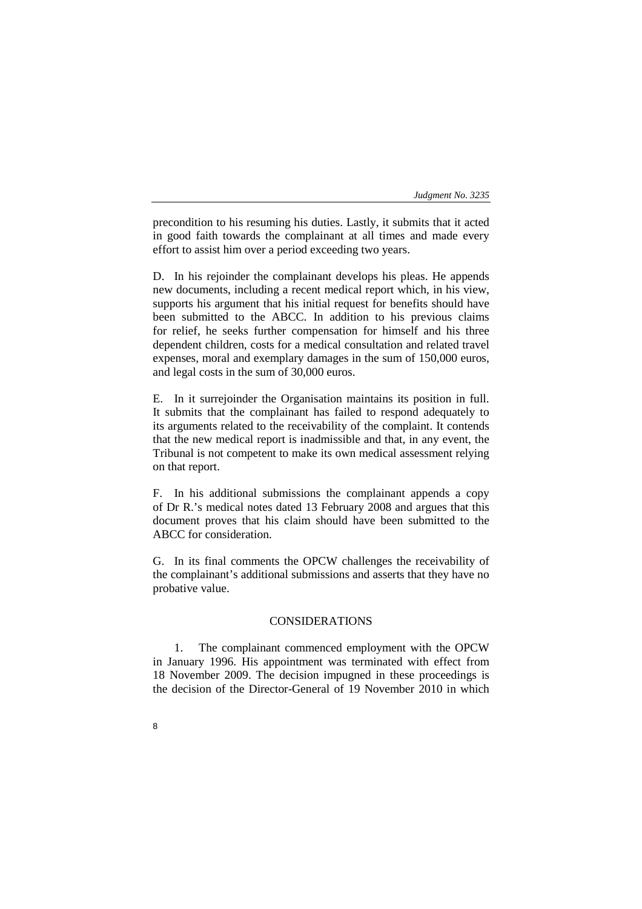precondition to his resuming his duties. Lastly, it submits that it acted in good faith towards the complainant at all times and made every effort to assist him over a period exceeding two years.

D. In his rejoinder the complainant develops his pleas. He appends new documents, including a recent medical report which, in his view, supports his argument that his initial request for benefits should have been submitted to the ABCC. In addition to his previous claims for relief, he seeks further compensation for himself and his three dependent children, costs for a medical consultation and related travel expenses, moral and exemplary damages in the sum of 150,000 euros, and legal costs in the sum of 30,000 euros.

E. In it surrejoinder the Organisation maintains its position in full. It submits that the complainant has failed to respond adequately to its arguments related to the receivability of the complaint. It contends that the new medical report is inadmissible and that, in any event, the Tribunal is not competent to make its own medical assessment relying on that report.

F. In his additional submissions the complainant appends a copy of Dr R.'s medical notes dated 13 February 2008 and argues that this document proves that his claim should have been submitted to the ABCC for consideration.

G. In its final comments the OPCW challenges the receivability of the complainant's additional submissions and asserts that they have no probative value.

# CONSIDERATIONS

1. The complainant commenced employment with the OPCW in January 1996. His appointment was terminated with effect from 18 November 2009. The decision impugned in these proceedings is the decision of the Director-General of 19 November 2010 in which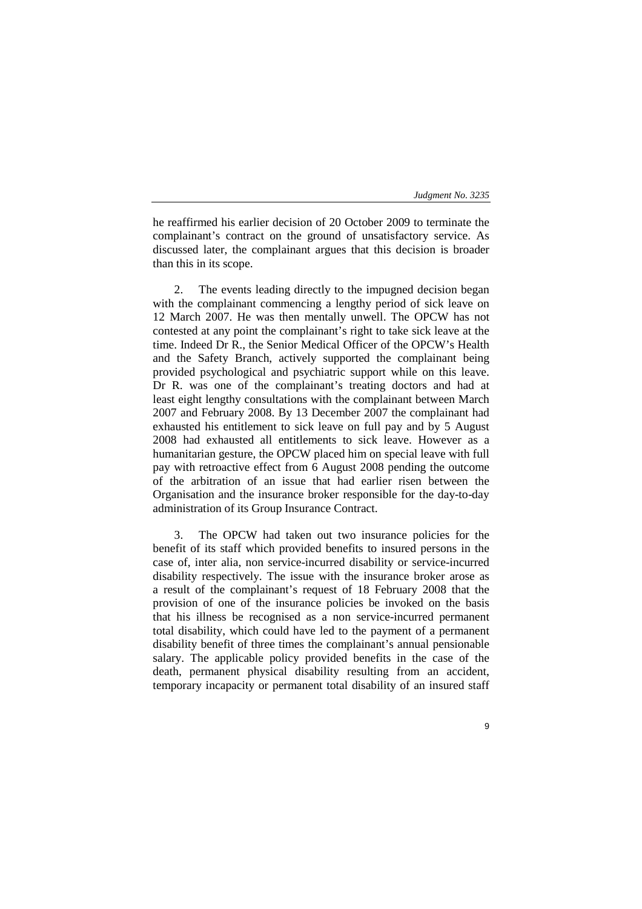he reaffirmed his earlier decision of 20 October 2009 to terminate the complainant's contract on the ground of unsatisfactory service. As discussed later, the complainant argues that this decision is broader than this in its scope.

2. The events leading directly to the impugned decision began with the complainant commencing a lengthy period of sick leave on 12 March 2007. He was then mentally unwell. The OPCW has not contested at any point the complainant's right to take sick leave at the time. Indeed Dr R., the Senior Medical Officer of the OPCW's Health and the Safety Branch, actively supported the complainant being provided psychological and psychiatric support while on this leave. Dr R. was one of the complainant's treating doctors and had at least eight lengthy consultations with the complainant between March 2007 and February 2008. By 13 December 2007 the complainant had exhausted his entitlement to sick leave on full pay and by 5 August 2008 had exhausted all entitlements to sick leave. However as a humanitarian gesture, the OPCW placed him on special leave with full pay with retroactive effect from 6 August 2008 pending the outcome of the arbitration of an issue that had earlier risen between the Organisation and the insurance broker responsible for the day-to-day administration of its Group Insurance Contract.

3. The OPCW had taken out two insurance policies for the benefit of its staff which provided benefits to insured persons in the case of, inter alia, non service-incurred disability or service-incurred disability respectively. The issue with the insurance broker arose as a result of the complainant's request of 18 February 2008 that the provision of one of the insurance policies be invoked on the basis that his illness be recognised as a non service-incurred permanent total disability, which could have led to the payment of a permanent disability benefit of three times the complainant's annual pensionable salary. The applicable policy provided benefits in the case of the death, permanent physical disability resulting from an accident, temporary incapacity or permanent total disability of an insured staff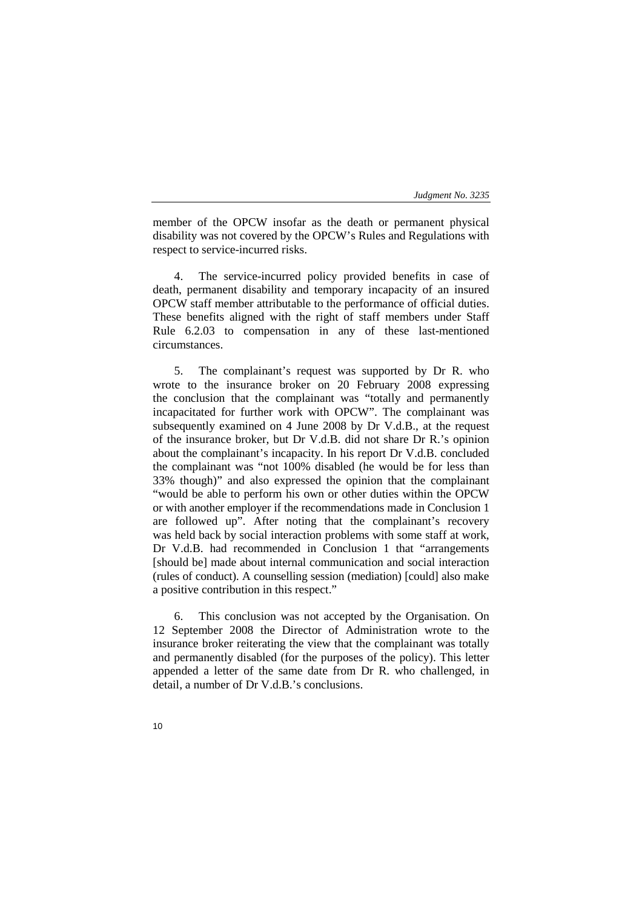member of the OPCW insofar as the death or permanent physical disability was not covered by the OPCW's Rules and Regulations with respect to service-incurred risks.

4. The service-incurred policy provided benefits in case of death, permanent disability and temporary incapacity of an insured OPCW staff member attributable to the performance of official duties. These benefits aligned with the right of staff members under Staff Rule 6.2.03 to compensation in any of these last-mentioned circumstances.

5. The complainant's request was supported by Dr R. who wrote to the insurance broker on 20 February 2008 expressing the conclusion that the complainant was "totally and permanently incapacitated for further work with OPCW". The complainant was subsequently examined on 4 June 2008 by Dr V.d.B., at the request of the insurance broker, but Dr V.d.B. did not share Dr R.'s opinion about the complainant's incapacity. In his report Dr V.d.B. concluded the complainant was "not 100% disabled (he would be for less than 33% though)" and also expressed the opinion that the complainant "would be able to perform his own or other duties within the OPCW or with another employer if the recommendations made in Conclusion 1 are followed up". After noting that the complainant's recovery was held back by social interaction problems with some staff at work, Dr V.d.B. had recommended in Conclusion 1 that "arrangements [should be] made about internal communication and social interaction (rules of conduct). A counselling session (mediation) [could] also make a positive contribution in this respect."

6. This conclusion was not accepted by the Organisation. On 12 September 2008 the Director of Administration wrote to the insurance broker reiterating the view that the complainant was totally and permanently disabled (for the purposes of the policy). This letter appended a letter of the same date from Dr R. who challenged, in detail, a number of Dr V.d.B.'s conclusions.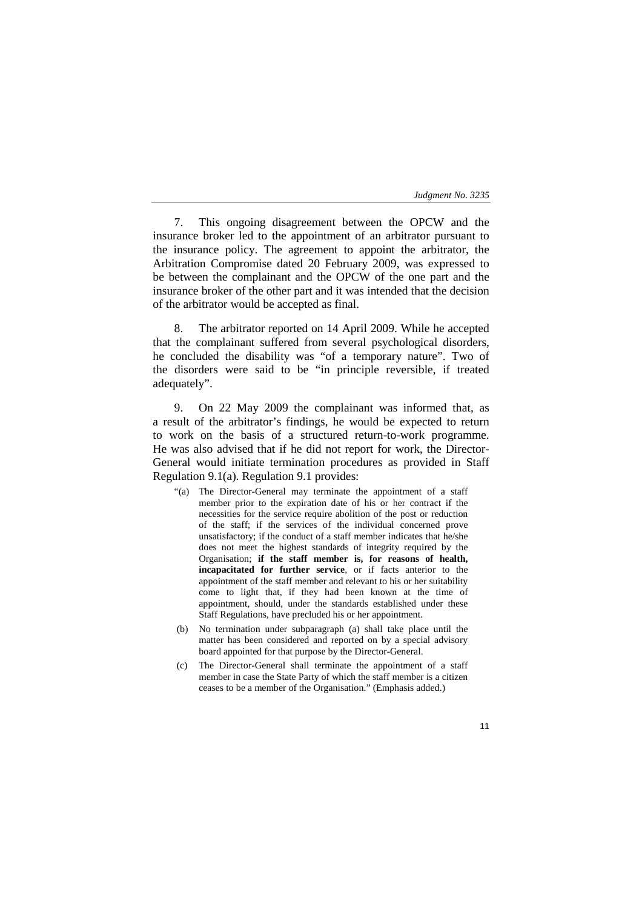7. This ongoing disagreement between the OPCW and the insurance broker led to the appointment of an arbitrator pursuant to the insurance policy. The agreement to appoint the arbitrator, the Arbitration Compromise dated 20 February 2009, was expressed to be between the complainant and the OPCW of the one part and the insurance broker of the other part and it was intended that the decision of the arbitrator would be accepted as final.

8. The arbitrator reported on 14 April 2009. While he accepted that the complainant suffered from several psychological disorders, he concluded the disability was "of a temporary nature". Two of the disorders were said to be "in principle reversible, if treated adequately".

9. On 22 May 2009 the complainant was informed that, as a result of the arbitrator's findings, he would be expected to return to work on the basis of a structured return-to-work programme. He was also advised that if he did not report for work, the Director-General would initiate termination procedures as provided in Staff Regulation 9.1(a). Regulation 9.1 provides:

- "(a) The Director-General may terminate the appointment of a staff member prior to the expiration date of his or her contract if the necessities for the service require abolition of the post or reduction of the staff; if the services of the individual concerned prove unsatisfactory; if the conduct of a staff member indicates that he/she does not meet the highest standards of integrity required by the Organisation; **if the staff member is, for reasons of health, incapacitated for further service**, or if facts anterior to the appointment of the staff member and relevant to his or her suitability come to light that, if they had been known at the time of appointment, should, under the standards established under these Staff Regulations, have precluded his or her appointment.
- (b) No termination under subparagraph (a) shall take place until the matter has been considered and reported on by a special advisory board appointed for that purpose by the Director-General.
- (c) The Director-General shall terminate the appointment of a staff member in case the State Party of which the staff member is a citizen ceases to be a member of the Organisation." (Emphasis added.)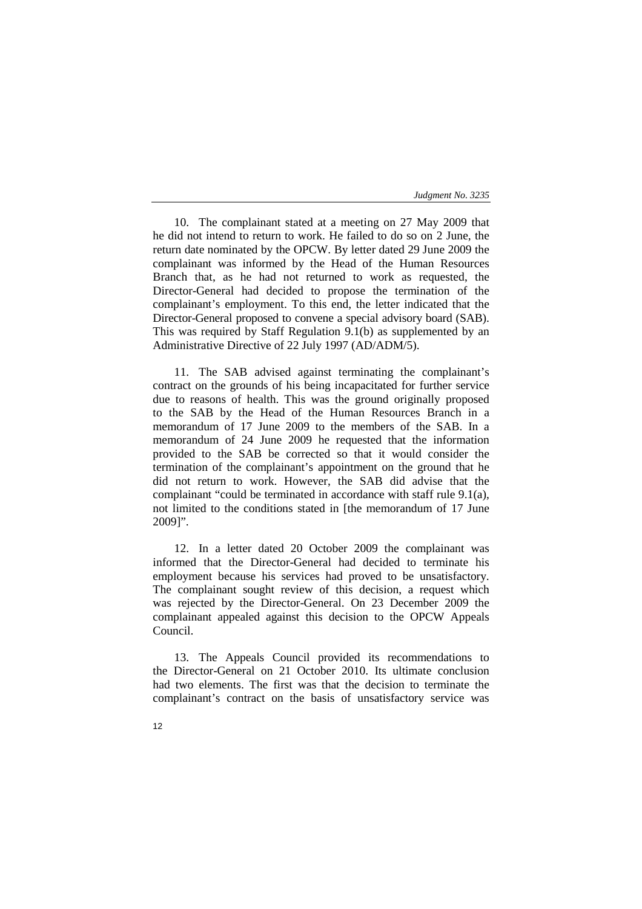10. The complainant stated at a meeting on 27 May 2009 that he did not intend to return to work. He failed to do so on 2 June, the return date nominated by the OPCW. By letter dated 29 June 2009 the complainant was informed by the Head of the Human Resources Branch that, as he had not returned to work as requested, the Director-General had decided to propose the termination of the complainant's employment. To this end, the letter indicated that the Director-General proposed to convene a special advisory board (SAB). This was required by Staff Regulation 9.1(b) as supplemented by an Administrative Directive of 22 July 1997 (AD/ADM/5).

11. The SAB advised against terminating the complainant's contract on the grounds of his being incapacitated for further service due to reasons of health. This was the ground originally proposed to the SAB by the Head of the Human Resources Branch in a memorandum of 17 June 2009 to the members of the SAB. In a memorandum of 24 June 2009 he requested that the information provided to the SAB be corrected so that it would consider the termination of the complainant's appointment on the ground that he did not return to work. However, the SAB did advise that the complainant "could be terminated in accordance with staff rule 9.1(a), not limited to the conditions stated in [the memorandum of 17 June 2009]".

12. In a letter dated 20 October 2009 the complainant was informed that the Director-General had decided to terminate his employment because his services had proved to be unsatisfactory. The complainant sought review of this decision, a request which was rejected by the Director-General. On 23 December 2009 the complainant appealed against this decision to the OPCW Appeals Council.

13. The Appeals Council provided its recommendations to the Director-General on 21 October 2010. Its ultimate conclusion had two elements. The first was that the decision to terminate the complainant's contract on the basis of unsatisfactory service was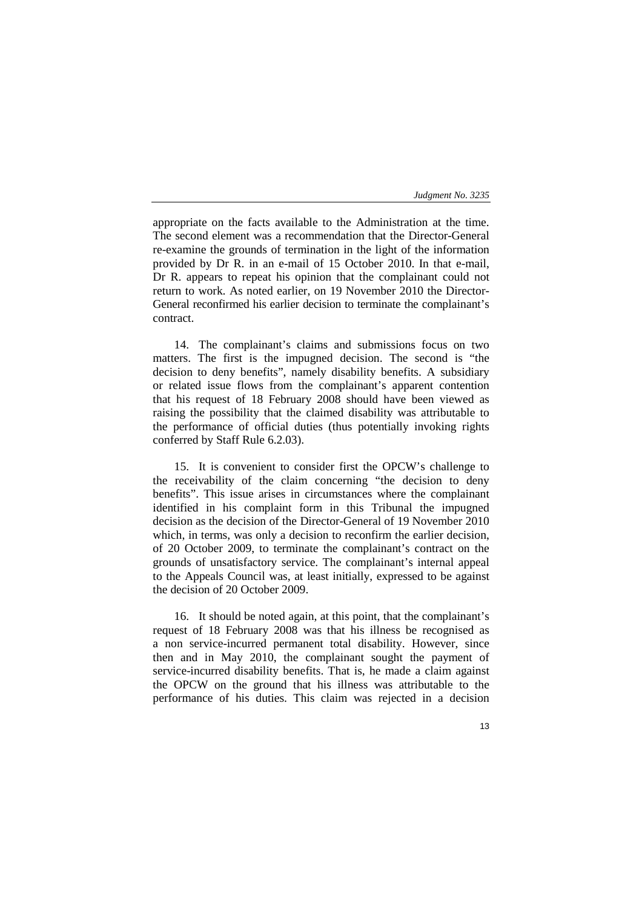appropriate on the facts available to the Administration at the time. The second element was a recommendation that the Director-General re-examine the grounds of termination in the light of the information provided by Dr R. in an e-mail of 15 October 2010. In that e-mail, Dr R. appears to repeat his opinion that the complainant could not return to work. As noted earlier, on 19 November 2010 the Director-General reconfirmed his earlier decision to terminate the complainant's contract.

14. The complainant's claims and submissions focus on two matters. The first is the impugned decision. The second is "the decision to deny benefits", namely disability benefits. A subsidiary or related issue flows from the complainant's apparent contention that his request of 18 February 2008 should have been viewed as raising the possibility that the claimed disability was attributable to the performance of official duties (thus potentially invoking rights conferred by Staff Rule 6.2.03).

15. It is convenient to consider first the OPCW's challenge to the receivability of the claim concerning "the decision to deny benefits". This issue arises in circumstances where the complainant identified in his complaint form in this Tribunal the impugned decision as the decision of the Director-General of 19 November 2010 which, in terms, was only a decision to reconfirm the earlier decision, of 20 October 2009, to terminate the complainant's contract on the grounds of unsatisfactory service. The complainant's internal appeal to the Appeals Council was, at least initially, expressed to be against the decision of 20 October 2009.

16. It should be noted again, at this point, that the complainant's request of 18 February 2008 was that his illness be recognised as a non service-incurred permanent total disability. However, since then and in May 2010, the complainant sought the payment of service-incurred disability benefits. That is, he made a claim against the OPCW on the ground that his illness was attributable to the performance of his duties. This claim was rejected in a decision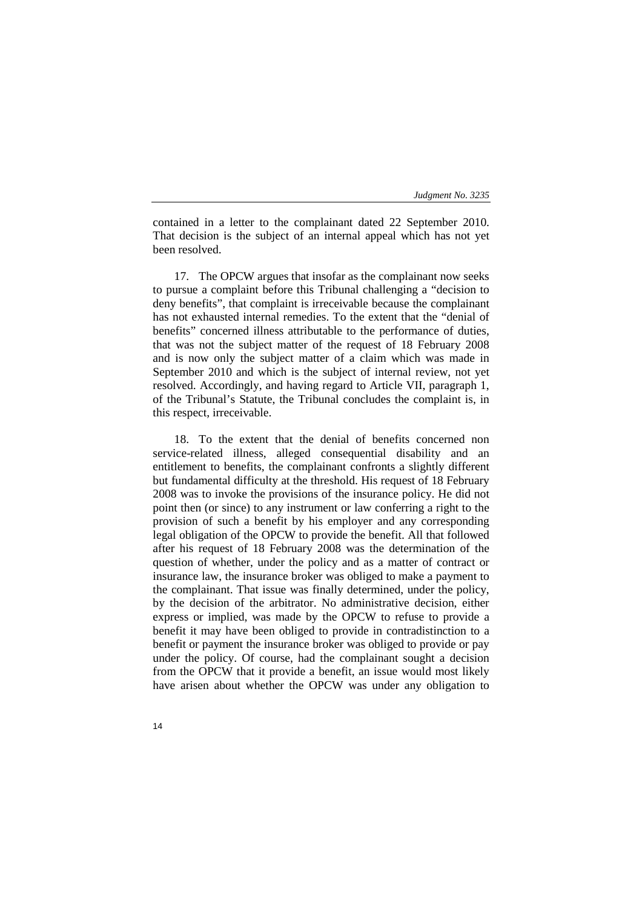contained in a letter to the complainant dated 22 September 2010. That decision is the subject of an internal appeal which has not yet been resolved.

17. The OPCW argues that insofar as the complainant now seeks to pursue a complaint before this Tribunal challenging a "decision to deny benefits", that complaint is irreceivable because the complainant has not exhausted internal remedies. To the extent that the "denial of benefits" concerned illness attributable to the performance of duties, that was not the subject matter of the request of 18 February 2008 and is now only the subject matter of a claim which was made in September 2010 and which is the subject of internal review, not yet resolved. Accordingly, and having regard to Article VII, paragraph 1, of the Tribunal's Statute, the Tribunal concludes the complaint is, in this respect, irreceivable.

18. To the extent that the denial of benefits concerned non service-related illness, alleged consequential disability and an entitlement to benefits, the complainant confronts a slightly different but fundamental difficulty at the threshold. His request of 18 February 2008 was to invoke the provisions of the insurance policy. He did not point then (or since) to any instrument or law conferring a right to the provision of such a benefit by his employer and any corresponding legal obligation of the OPCW to provide the benefit. All that followed after his request of 18 February 2008 was the determination of the question of whether, under the policy and as a matter of contract or insurance law, the insurance broker was obliged to make a payment to the complainant. That issue was finally determined, under the policy, by the decision of the arbitrator. No administrative decision, either express or implied, was made by the OPCW to refuse to provide a benefit it may have been obliged to provide in contradistinction to a benefit or payment the insurance broker was obliged to provide or pay under the policy. Of course, had the complainant sought a decision from the OPCW that it provide a benefit, an issue would most likely have arisen about whether the OPCW was under any obligation to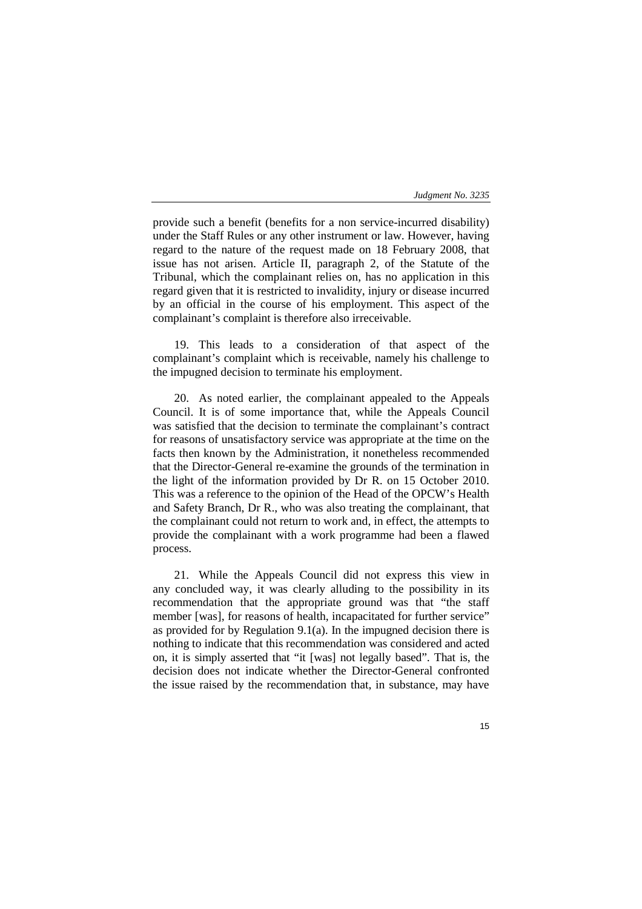provide such a benefit (benefits for a non service-incurred disability) under the Staff Rules or any other instrument or law. However, having regard to the nature of the request made on 18 February 2008, that issue has not arisen. Article II, paragraph 2, of the Statute of the Tribunal, which the complainant relies on, has no application in this regard given that it is restricted to invalidity, injury or disease incurred by an official in the course of his employment. This aspect of the complainant's complaint is therefore also irreceivable.

19. This leads to a consideration of that aspect of the complainant's complaint which is receivable, namely his challenge to the impugned decision to terminate his employment.

20. As noted earlier, the complainant appealed to the Appeals Council. It is of some importance that, while the Appeals Council was satisfied that the decision to terminate the complainant's contract for reasons of unsatisfactory service was appropriate at the time on the facts then known by the Administration, it nonetheless recommended that the Director-General re-examine the grounds of the termination in the light of the information provided by Dr R. on 15 October 2010. This was a reference to the opinion of the Head of the OPCW's Health and Safety Branch, Dr R., who was also treating the complainant, that the complainant could not return to work and, in effect, the attempts to provide the complainant with a work programme had been a flawed process.

21. While the Appeals Council did not express this view in any concluded way, it was clearly alluding to the possibility in its recommendation that the appropriate ground was that "the staff member [was], for reasons of health, incapacitated for further service" as provided for by Regulation 9.1(a). In the impugned decision there is nothing to indicate that this recommendation was considered and acted on, it is simply asserted that "it [was] not legally based". That is, the decision does not indicate whether the Director-General confronted the issue raised by the recommendation that, in substance, may have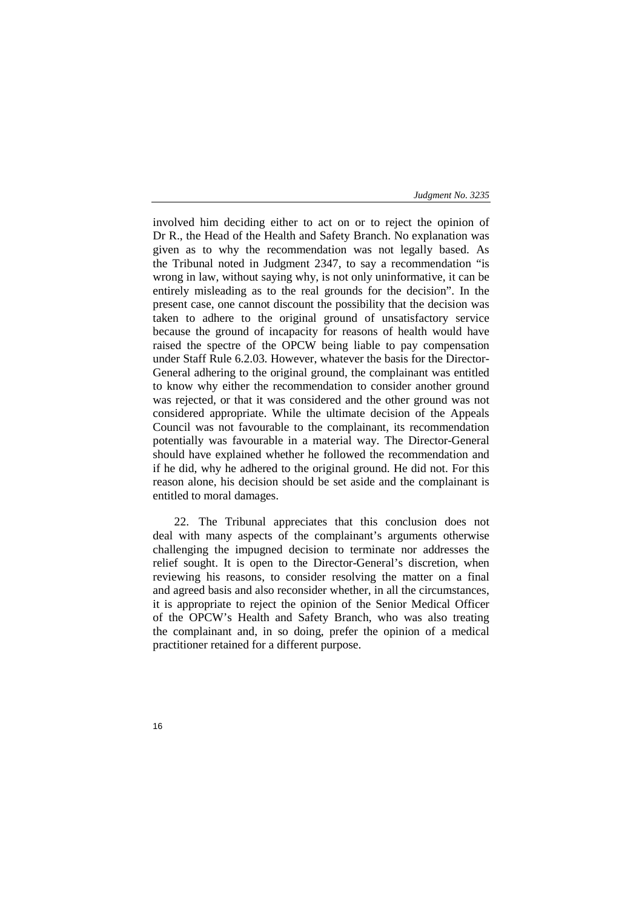involved him deciding either to act on or to reject the opinion of Dr R., the Head of the Health and Safety Branch. No explanation was given as to why the recommendation was not legally based. As the Tribunal noted in Judgment 2347, to say a recommendation "is wrong in law, without saying why, is not only uninformative, it can be entirely misleading as to the real grounds for the decision". In the present case, one cannot discount the possibility that the decision was taken to adhere to the original ground of unsatisfactory service because the ground of incapacity for reasons of health would have raised the spectre of the OPCW being liable to pay compensation under Staff Rule 6.2.03. However, whatever the basis for the Director-General adhering to the original ground, the complainant was entitled to know why either the recommendation to consider another ground was rejected, or that it was considered and the other ground was not considered appropriate. While the ultimate decision of the Appeals Council was not favourable to the complainant, its recommendation potentially was favourable in a material way. The Director-General should have explained whether he followed the recommendation and if he did, why he adhered to the original ground. He did not. For this reason alone, his decision should be set aside and the complainant is entitled to moral damages.

22. The Tribunal appreciates that this conclusion does not deal with many aspects of the complainant's arguments otherwise challenging the impugned decision to terminate nor addresses the relief sought. It is open to the Director-General's discretion, when reviewing his reasons, to consider resolving the matter on a final and agreed basis and also reconsider whether, in all the circumstances, it is appropriate to reject the opinion of the Senior Medical Officer of the OPCW's Health and Safety Branch, who was also treating the complainant and, in so doing, prefer the opinion of a medical practitioner retained for a different purpose.